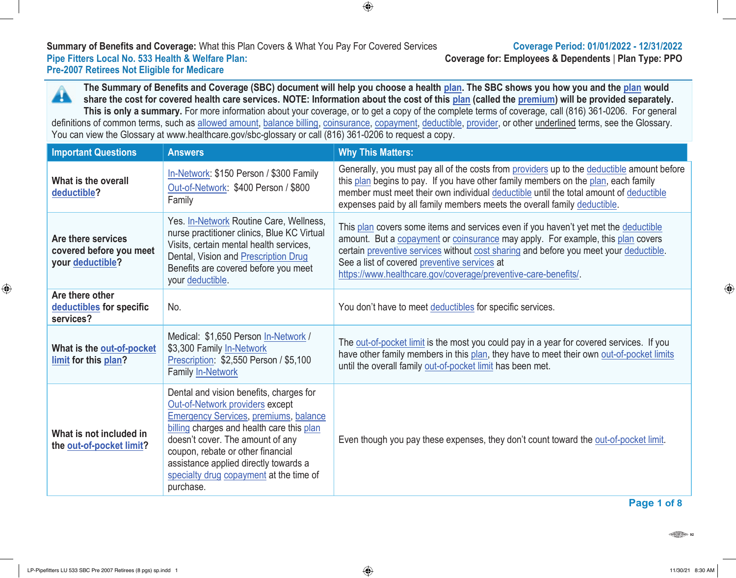# **Summary of Benefits and Coverage:** What this Plan Covers & What You Pay For Covered Services **Coverage Period: 01/01/2022 - 12/31/2022 Pre-2007 Retirees Not Eligible for Medicare**

**Coverage for: Employees & Dependents | Plan Type: PPO** 

**The Summary of Benefits and Coverage (SBC) document will help you choose a health plan. The SBC shows you how you and the plan would** A **share the cost for covered health care services. NOTE: Information about the cost of this plan (called the premium) will be provided separately. This is only a summary.** For more information about your coverage, or to get a copy of the complete terms of coverage, call (816) 361-0206. For general definitions of common terms, such as allowed amount, balance billing, coinsurance, copayment, deductible, provider, or other underlined terms, see the Glossary. You can view the Glossary at www.healthcare.gov/sbc-glossary or call (816) 361-0206 to request a copy.

 $\bigoplus$ 

| <b>Important Questions</b>                                        | <b>Answers</b>                                                                                                                                                                                                                                                                                                                                    | <b>Why This Matters:</b>                                                                                                                                                                                                                                                                                                                                                          |
|-------------------------------------------------------------------|---------------------------------------------------------------------------------------------------------------------------------------------------------------------------------------------------------------------------------------------------------------------------------------------------------------------------------------------------|-----------------------------------------------------------------------------------------------------------------------------------------------------------------------------------------------------------------------------------------------------------------------------------------------------------------------------------------------------------------------------------|
| What is the overall<br>deductible?                                | In-Network: \$150 Person / \$300 Family<br>Out-of-Network: \$400 Person / \$800<br>Family                                                                                                                                                                                                                                                         | Generally, you must pay all of the costs from providers up to the deductible amount before<br>this plan begins to pay. If you have other family members on the plan, each family<br>member must meet their own individual deductible until the total amount of deductible<br>expenses paid by all family members meets the overall family deductible.                             |
| Are there services<br>covered before you meet<br>your deductible? | Yes. In-Network Routine Care, Wellness,<br>nurse practitioner clinics, Blue KC Virtual<br>Visits, certain mental health services,<br>Dental, Vision and Prescription Drug<br>Benefits are covered before you meet<br>your deductible.                                                                                                             | This plan covers some items and services even if you haven't yet met the deductible<br>amount. But a copayment or coinsurance may apply. For example, this plan covers<br>certain preventive services without cost sharing and before you meet your deductible.<br>See a list of covered preventive services at<br>https://www.healthcare.gov/coverage/preventive-care-benefits/. |
| Are there other<br>deductibles for specific<br>services?          | No.                                                                                                                                                                                                                                                                                                                                               | You don't have to meet deductibles for specific services.                                                                                                                                                                                                                                                                                                                         |
| What is the out-of-pocket<br>limit for this plan?                 | Medical: \$1,650 Person In-Network /<br>\$3,300 Family In-Network<br>Prescription: \$2,550 Person / \$5,100<br>Family In-Network                                                                                                                                                                                                                  | The out-of-pocket limit is the most you could pay in a year for covered services. If you<br>have other family members in this plan, they have to meet their own out-of-pocket limits<br>until the overall family out-of-pocket limit has been met.                                                                                                                                |
| What is not included in<br>the out-of-pocket limit?               | Dental and vision benefits, charges for<br>Out-of-Network providers except<br><b>Emergency Services, premiums, balance</b><br>billing charges and health care this plan<br>doesn't cover. The amount of any<br>coupon, rebate or other financial<br>assistance applied directly towards a<br>specialty drug copayment at the time of<br>purchase. | Even though you pay these expenses, they don't count toward the out-of-pocket limit.                                                                                                                                                                                                                                                                                              |

 $\bigoplus$ 

**Page 1 of 8**

 $\frac{1}{\sqrt{\log n}}$ 

⊕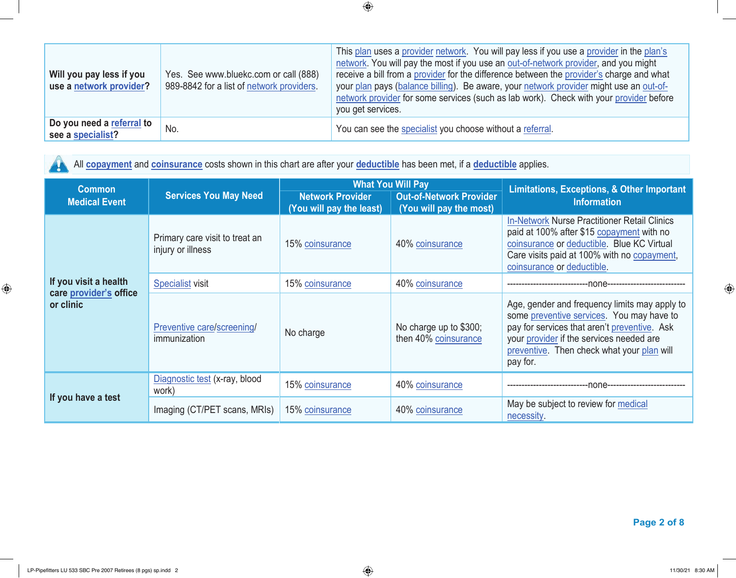| Will you pay less if you<br>use a network provider? | Yes. See www.bluekc.com or call (888)<br>989-8842 for a list of network providers. | This plan uses a provider network. You will pay less if you use a provider in the plan's<br>network. You will pay the most if you use an out-of-network provider, and you might<br>receive a bill from a provider for the difference between the provider's charge and what<br>your plan pays (balance billing). Be aware, your network provider might use an out-of-<br>network provider for some services (such as lab work). Check with your provider before<br>you get services. |
|-----------------------------------------------------|------------------------------------------------------------------------------------|--------------------------------------------------------------------------------------------------------------------------------------------------------------------------------------------------------------------------------------------------------------------------------------------------------------------------------------------------------------------------------------------------------------------------------------------------------------------------------------|
| Do you need a referral to<br>see a specialist?      | No.                                                                                | You can see the specialist you choose without a referral.                                                                                                                                                                                                                                                                                                                                                                                                                            |

All **copayment** and **coinsurance** costs shown in this chart are after your **deductible** has been met, if a **deductible** applies.  $\mathbf{A}$ 

| <b>Common</b>                       |                                                     |                                                     | <b>What You Will Pay</b>                                  | <b>Limitations, Exceptions, &amp; Other Important</b><br><b>Information</b>                                                                                                                                                                      |  |
|-------------------------------------|-----------------------------------------------------|-----------------------------------------------------|-----------------------------------------------------------|--------------------------------------------------------------------------------------------------------------------------------------------------------------------------------------------------------------------------------------------------|--|
| <b>Medical Event</b>                | <b>Services You May Need</b>                        | <b>Network Provider</b><br>(You will pay the least) | <b>Out-of-Network Provider</b><br>(You will pay the most) |                                                                                                                                                                                                                                                  |  |
|                                     | Primary care visit to treat an<br>injury or illness | 15% coinsurance                                     | 40% coinsurance                                           | <b>In-Network Nurse Practitioner Retail Clinics</b><br>paid at 100% after \$15 copayment with no<br>coinsurance or deductible. Blue KC Virtual<br>Care visits paid at 100% with no copayment,<br>coinsurance or deductible.                      |  |
| If you visit a health               | <b>Specialist visit</b>                             | 15% coinsurance                                     | 40% coinsurance                                           | -none---------                                                                                                                                                                                                                                   |  |
| care provider's office<br>or clinic | Preventive care/screening/<br>immunization          | No charge                                           | No charge up to \$300;<br>then 40% coinsurance            | Age, gender and frequency limits may apply to<br>some preventive services. You may have to<br>pay for services that aren't preventive. Ask<br>your provider if the services needed are<br>preventive. Then check what your plan will<br>pay for. |  |
| If you have a test                  | Diagnostic test (x-ray, blood<br>work)              | 15% coinsurance                                     | 40% coinsurance                                           | -none--                                                                                                                                                                                                                                          |  |
|                                     | Imaging (CT/PET scans, MRIs)                        | 15% coinsurance                                     | 40% coinsurance                                           | May be subject to review for medical<br>necessity.                                                                                                                                                                                               |  |

 **Page 2 of 8**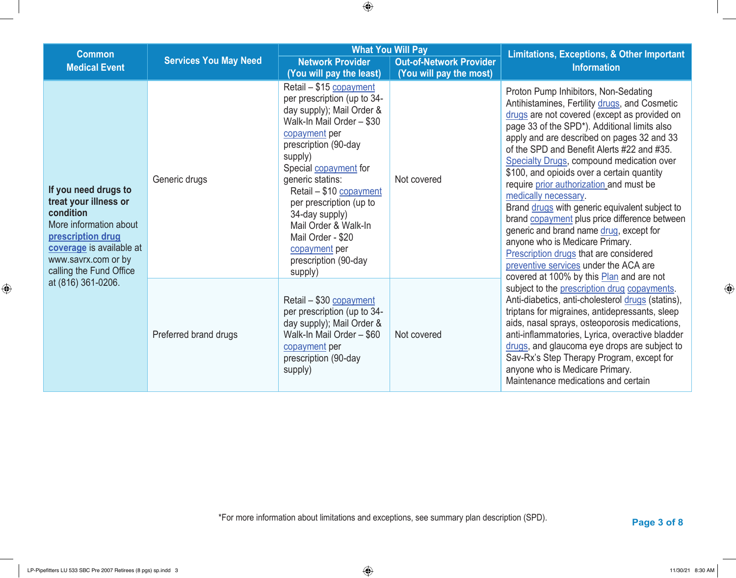| <b>Common</b>                                                                                                                                                                           |                              |                                                                                                                                                                                                                                                                                                                                                                                            | <b>What You Will Pay</b>                                  | <b>Limitations, Exceptions, &amp; Other Important</b>                                                                                                                                                                                                                                                                                                                                                                                                                                                                                                                                                                                                                                                                                                           |
|-----------------------------------------------------------------------------------------------------------------------------------------------------------------------------------------|------------------------------|--------------------------------------------------------------------------------------------------------------------------------------------------------------------------------------------------------------------------------------------------------------------------------------------------------------------------------------------------------------------------------------------|-----------------------------------------------------------|-----------------------------------------------------------------------------------------------------------------------------------------------------------------------------------------------------------------------------------------------------------------------------------------------------------------------------------------------------------------------------------------------------------------------------------------------------------------------------------------------------------------------------------------------------------------------------------------------------------------------------------------------------------------------------------------------------------------------------------------------------------------|
| <b>Medical Event</b>                                                                                                                                                                    | <b>Services You May Need</b> | <b>Network Provider</b><br>(You will pay the least)                                                                                                                                                                                                                                                                                                                                        | <b>Out-of-Network Provider</b><br>(You will pay the most) | <b>Information</b>                                                                                                                                                                                                                                                                                                                                                                                                                                                                                                                                                                                                                                                                                                                                              |
| If you need drugs to<br>treat your illness or<br>condition<br>More information about<br>prescription drug<br>coverage is available at<br>www.savrx.com or by<br>calling the Fund Office | Generic drugs                | Retail - \$15 copayment<br>per prescription (up to 34-<br>day supply); Mail Order &<br>Walk-In Mail Order - \$30<br>copayment per<br>prescription (90-day<br>supply)<br>Special copayment for<br>generic statins:<br>Retail - \$10 copayment<br>per prescription (up to<br>34-day supply)<br>Mail Order & Walk-In<br>Mail Order - \$20<br>copayment per<br>prescription (90-day<br>supply) | Not covered                                               | Proton Pump Inhibitors, Non-Sedating<br>Antihistamines, Fertility drugs, and Cosmetic<br>drugs are not covered (except as provided on<br>page 33 of the SPD*). Additional limits also<br>apply and are described on pages 32 and 33<br>of the SPD and Benefit Alerts #22 and #35.<br>Specialty Drugs, compound medication over<br>\$100, and opioids over a certain quantity<br>require prior authorization and must be<br>medically necessary.<br>Brand drugs with generic equivalent subject to<br>brand copayment plus price difference between<br>generic and brand name drug, except for<br>anyone who is Medicare Primary.<br>Prescription drugs that are considered<br>preventive services under the ACA are<br>covered at 100% by this Plan and are not |
| at (816) 361-0206.                                                                                                                                                                      | Preferred brand drugs        | Retail - \$30 copayment<br>per prescription (up to 34-<br>day supply); Mail Order &<br>Walk-In Mail Order - \$60<br>copayment per<br>prescription (90-day<br>supply)                                                                                                                                                                                                                       | Not covered                                               | subject to the prescription drug copayments.<br>Anti-diabetics, anti-cholesterol drugs (statins),<br>triptans for migraines, antidepressants, sleep<br>aids, nasal sprays, osteoporosis medications,<br>anti-inflammatories, Lyrica, overactive bladder<br>drugs, and glaucoma eye drops are subject to<br>Sav-Rx's Step Therapy Program, except for<br>anyone who is Medicare Primary.<br>Maintenance medications and certain                                                                                                                                                                                                                                                                                                                                  |

 **Page <sup>3</sup> of 8** \*For more information about limitations and exceptions, see summary plan description (SPD).

 $\bigoplus$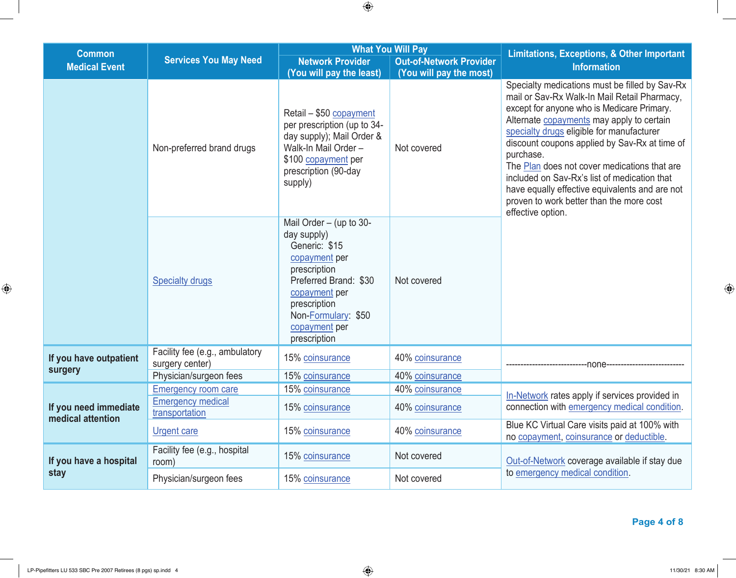| <b>Common</b>                              |                                                                             |                                                                                                                                                                                                              | <b>What You Will Pay</b>                                  |                                                                                                                                                                                                                                                                                                                                                                                                                                                                                                                         |  |
|--------------------------------------------|-----------------------------------------------------------------------------|--------------------------------------------------------------------------------------------------------------------------------------------------------------------------------------------------------------|-----------------------------------------------------------|-------------------------------------------------------------------------------------------------------------------------------------------------------------------------------------------------------------------------------------------------------------------------------------------------------------------------------------------------------------------------------------------------------------------------------------------------------------------------------------------------------------------------|--|
| <b>Medical Event</b>                       | <b>Services You May Need</b>                                                | <b>Network Provider</b><br>(You will pay the least)                                                                                                                                                          | <b>Out-of-Network Provider</b><br>(You will pay the most) | <b>Limitations, Exceptions, &amp; Other Important</b><br><b>Information</b>                                                                                                                                                                                                                                                                                                                                                                                                                                             |  |
|                                            | Non-preferred brand drugs                                                   | Retail - \$50 copayment<br>per prescription (up to 34-<br>day supply); Mail Order &<br>Walk-In Mail Order -<br>\$100 copayment per<br>prescription (90-day<br>supply)                                        | Not covered                                               | Specialty medications must be filled by Sav-Rx<br>mail or Sav-Rx Walk-In Mail Retail Pharmacy,<br>except for anyone who is Medicare Primary.<br>Alternate copayments may apply to certain<br>specialty drugs eligible for manufacturer<br>discount coupons applied by Sav-Rx at time of<br>purchase.<br>The Plan does not cover medications that are<br>included on Sav-Rx's list of medication that<br>have equally effective equivalents and are not<br>proven to work better than the more cost<br>effective option. |  |
|                                            | <b>Specialty drugs</b>                                                      | Mail Order $-$ (up to 30-<br>day supply)<br>Generic: \$15<br>copayment per<br>prescription<br>Preferred Brand: \$30<br>copayment per<br>prescription<br>Non-Formulary: \$50<br>copayment per<br>prescription | Not covered                                               |                                                                                                                                                                                                                                                                                                                                                                                                                                                                                                                         |  |
| If you have outpatient<br>surgery          | Facility fee (e.g., ambulatory<br>surgery center)<br>Physician/surgeon fees | 15% coinsurance<br>15% coinsurance                                                                                                                                                                           | 40% coinsurance<br>40% coinsurance                        | -none                                                                                                                                                                                                                                                                                                                                                                                                                                                                                                                   |  |
| If you need immediate<br>medical attention | <b>Emergency room care</b><br><b>Emergency medical</b><br>transportation    | 15% coinsurance<br>15% coinsurance                                                                                                                                                                           | 40% coinsurance<br>40% coinsurance                        | In-Network rates apply if services provided in<br>connection with emergency medical condition.                                                                                                                                                                                                                                                                                                                                                                                                                          |  |
|                                            | <b>Urgent care</b>                                                          | 15% coinsurance                                                                                                                                                                                              | 40% coinsurance                                           | Blue KC Virtual Care visits paid at 100% with<br>no copayment, coinsurance or deductible.                                                                                                                                                                                                                                                                                                                                                                                                                               |  |
| If you have a hospital                     | Facility fee (e.g., hospital<br>room)                                       | 15% coinsurance                                                                                                                                                                                              | Not covered                                               | Out-of-Network coverage available if stay due                                                                                                                                                                                                                                                                                                                                                                                                                                                                           |  |
| stay                                       | Physician/surgeon fees                                                      | 15% coinsurance                                                                                                                                                                                              | Not covered                                               | to emergency medical condition.                                                                                                                                                                                                                                                                                                                                                                                                                                                                                         |  |

 $\bigoplus$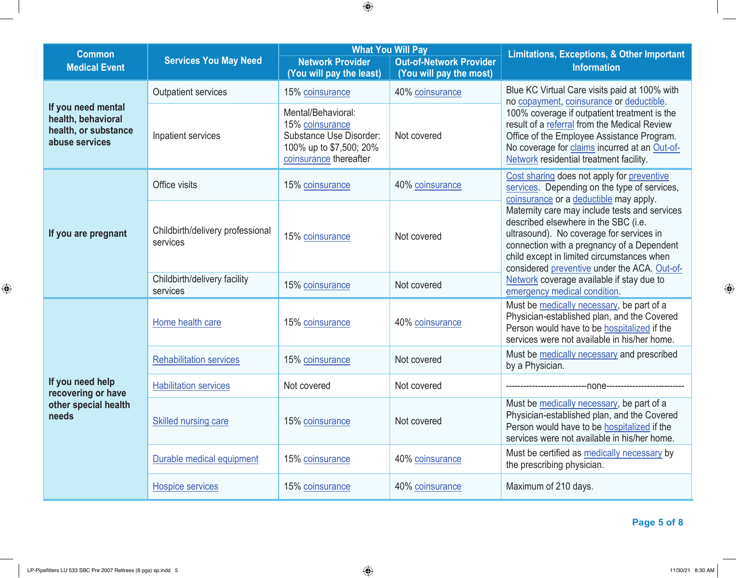| <b>Common</b><br><b>Medical Event</b>                                              | <b>Services You May Need</b>                 | <b>Network Provider</b><br>(You will pay the least)                                                                   | <b>What You Will Pay</b><br><b>Out-of-Network Provider</b><br>(You will pay the most) | <b>Limitations, Exceptions, &amp; Other Important</b><br><b>Information</b>                                                                                                                                                                                                   |
|------------------------------------------------------------------------------------|----------------------------------------------|-----------------------------------------------------------------------------------------------------------------------|---------------------------------------------------------------------------------------|-------------------------------------------------------------------------------------------------------------------------------------------------------------------------------------------------------------------------------------------------------------------------------|
|                                                                                    | <b>Outpatient services</b>                   | 15% coinsurance                                                                                                       | 40% coinsurance                                                                       | Blue KC Virtual Care visits paid at 100% with<br>no copayment, coinsurance or deductible.                                                                                                                                                                                     |
| If you need mental<br>health, behavioral<br>health, or substance<br>abuse services | Inpatient services                           | Mental/Behavioral:<br>15% coinsurance<br>Substance Use Disorder:<br>100% up to \$7,500; 20%<br>coinsurance thereafter | Not covered                                                                           | 100% coverage if outpatient treatment is the<br>result of a referral from the Medical Review<br>Office of the Employee Assistance Program.<br>No coverage for claims incurred at an Out-of-<br>Network residential treatment facility.                                        |
|                                                                                    | Office visits                                | 15% coinsurance                                                                                                       | 40% coinsurance                                                                       | Cost sharing does not apply for preventive<br>services. Depending on the type of services,<br>coinsurance or a deductible may apply.                                                                                                                                          |
| If you are pregnant                                                                | Childbirth/delivery professional<br>services | 15% coinsurance                                                                                                       | Not covered                                                                           | Maternity care may include tests and services<br>described elsewhere in the SBC (i.e.<br>ultrasound). No coverage for services in<br>connection with a pregnancy of a Dependent<br>child except in limited circumstances when<br>considered preventive under the ACA. Out-of- |
|                                                                                    | Childbirth/delivery facility<br>services     | 15% coinsurance                                                                                                       | Not covered                                                                           | Network coverage available if stay due to<br>emergency medical condition.                                                                                                                                                                                                     |
|                                                                                    | Home health care                             | 15% coinsurance                                                                                                       | 40% coinsurance                                                                       | Must be medically necessary, be part of a<br>Physician-established plan, and the Covered<br>Person would have to be hospitalized if the<br>services were not available in his/her home.                                                                                       |
|                                                                                    | <b>Rehabilitation services</b>               | 15% coinsurance                                                                                                       | Not covered                                                                           | Must be medically necessary and prescribed<br>by a Physician.                                                                                                                                                                                                                 |
| If you need help<br>recovering or have<br>other special health<br>needs            | <b>Habilitation services</b>                 | Not covered                                                                                                           | Not covered                                                                           |                                                                                                                                                                                                                                                                               |
|                                                                                    | <b>Skilled nursing care</b>                  | 15% coinsurance                                                                                                       | Not covered                                                                           | Must be medically necessary, be part of a<br>Physician-established plan, and the Covered<br>Person would have to be hospitalized if the<br>services were not available in his/her home.                                                                                       |
|                                                                                    | Durable medical equipment                    | 15% coinsurance                                                                                                       | 40% coinsurance                                                                       | Must be certified as medically necessary by<br>the prescribing physician.                                                                                                                                                                                                     |
|                                                                                    | <b>Hospice services</b>                      | 15% coinsurance                                                                                                       | 40% coinsurance                                                                       | Maximum of 210 days.                                                                                                                                                                                                                                                          |

 **Page 5 of 8**

 $\bigoplus$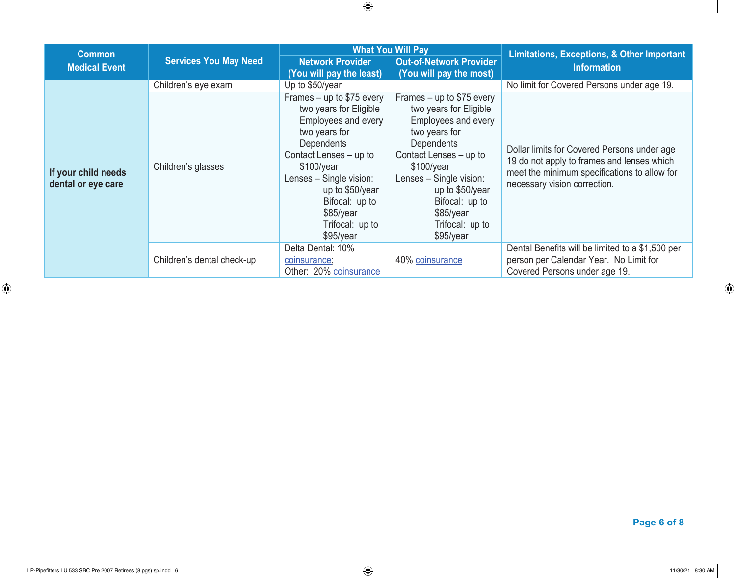| <b>Common</b>                             | <b>Services You May Need</b> | <b>What You Will Pay</b>                                                                                                                                                                                                                                           |                                                                                                                                                                                                                                                                      | Limitations, Exceptions, & Other Important                                                                                                                                |  |
|-------------------------------------------|------------------------------|--------------------------------------------------------------------------------------------------------------------------------------------------------------------------------------------------------------------------------------------------------------------|----------------------------------------------------------------------------------------------------------------------------------------------------------------------------------------------------------------------------------------------------------------------|---------------------------------------------------------------------------------------------------------------------------------------------------------------------------|--|
| <b>Medical Event</b>                      |                              | <b>Network Provider</b><br>(You will pay the least)                                                                                                                                                                                                                | <b>Out-of-Network Provider</b><br>(You will pay the most)                                                                                                                                                                                                            | <b>Information</b>                                                                                                                                                        |  |
|                                           | Children's eye exam          | Up to \$50/year                                                                                                                                                                                                                                                    |                                                                                                                                                                                                                                                                      | No limit for Covered Persons under age 19.                                                                                                                                |  |
| If your child needs<br>dental or eye care | Children's glasses           | Frames $-$ up to \$75 every<br>two years for Eligible<br>Employees and every<br>two years for<br>Dependents<br>Contact Lenses - up to<br>\$100/year<br>Lenses - Single vision:<br>up to \$50/year<br>Bifocal: up to<br>$$85$ /year<br>Trifocal: up to<br>\$95/year | Frames $-$ up to \$75 every<br>two years for Eligible<br>Employees and every<br>two years for<br>Dependents<br>Contact Lenses - up to<br>\$100/year<br>Lenses - Single vision:<br>up to \$50/year<br>Bifocal: up to<br>$$85$ /year<br>Trifocal: up to<br>$$95$ /year | Dollar limits for Covered Persons under age<br>19 do not apply to frames and lenses which<br>meet the minimum specifications to allow for<br>necessary vision correction. |  |
|                                           | Children's dental check-up   | Delta Dental: 10%<br>coinsurance;<br>Other: 20% coinsurance                                                                                                                                                                                                        | 40% coinsurance                                                                                                                                                                                                                                                      | Dental Benefits will be limited to a \$1,500 per<br>person per Calendar Year. No Limit for<br>Covered Persons under age 19.                                               |  |

 $\bigoplus$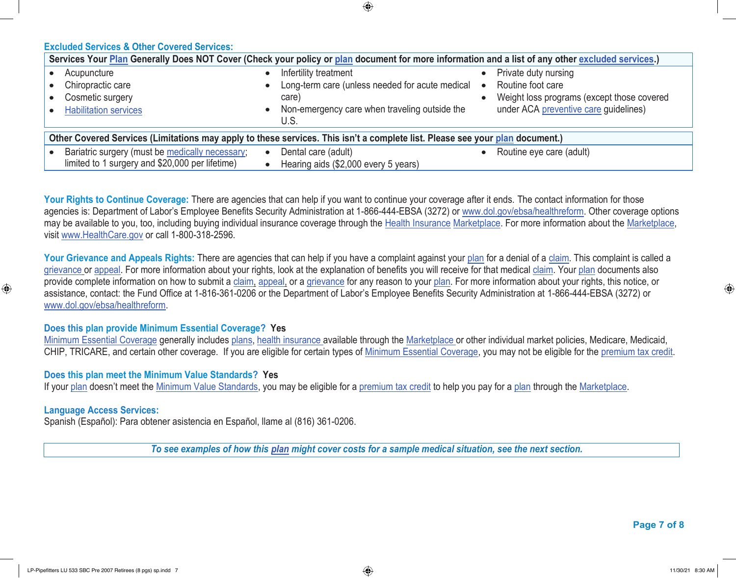**Excluded Services & Other Covered Services:**

| Services Your Plan Generally Does NOT Cover (Check your policy or plan document for more information and a list of any other excluded services.) |                                                   |                                            |  |  |  |
|--------------------------------------------------------------------------------------------------------------------------------------------------|---------------------------------------------------|--------------------------------------------|--|--|--|
| Acupuncture                                                                                                                                      | Infertility treatment                             | Private duty nursing                       |  |  |  |
| Chiropractic care                                                                                                                                | Long-term care (unless needed for acute medical • | Routine foot care                          |  |  |  |
| Cosmetic surgery                                                                                                                                 | care)                                             | Weight loss programs (except those covered |  |  |  |
| <b>Habilitation services</b>                                                                                                                     | Non-emergency care when traveling outside the     | under ACA preventive care guidelines)      |  |  |  |
|                                                                                                                                                  | U.S.                                              |                                            |  |  |  |
| Other Covered Services (Limitations may apply to these services. This isn't a complete list. Please see your plan document.)                     |                                                   |                                            |  |  |  |
| Bariatric surgery (must be medically necessary;                                                                                                  | Dental care (adult)                               | Routine eye care (adult)                   |  |  |  |
| limited to 1 surgery and \$20,000 per lifetime)                                                                                                  | Hearing aids (\$2,000 every 5 years)              |                                            |  |  |  |

⊕

Your Rights to Continue Coverage: There are agencies that can help if you want to continue your coverage after it ends. The contact information for those agencies is: Department of Labor's Employee Benefits Security Administration at 1-866-444-EBSA (3272) or www.dol.gov/ebsa/healthreform. Other coverage options may be available to you, too, including buying individual insurance coverage through the Health Insurance Marketplace. For more information about the Marketplace, visit www.HealthCare.gov or call 1-800-318-2596.

Your Grievance and Appeals Rights: There are agencies that can help if you have a complaint against your plan for a denial of a claim. This complaint is called a grievance or appeal. For more information about your rights, look at the explanation of benefits you will receive for that medical claim. Your plan documents also provide complete information on how to submit a claim, appeal, or a grievance for any reason to your plan. For more information about your rights, this notice, or assistance, contact: the Fund Office at 1-816-361-0206 or the Department of Labor's Employee Benefits Security Administration at 1-866-444-EBSA (3272) or www.dol.gov/ebsa/healthreform.

### **Does this plan provide Minimum Essential Coverage? Yes**

Minimum Essential Coverage generally includes plans, health insurance available through the Marketplace or other individual market policies, Medicare, Medicaid, CHIP, TRICARE, and certain other coverage. If you are eligible for certain types of Minimum Essential Coverage, you may not be eligible for the premium tax credit.

#### **Does this plan meet the Minimum Value Standards? Yes**

If your plan doesn't meet the Minimum Value Standards, you may be eligible for a premium tax credit to help you pay for a plan through the Marketplace.

## **Language Access Services:**

 $\bigoplus$ 

Spanish (Español): Para obtener asistencia en Español, llame al (816) 361-0206.

*To see examples of how this plan might cover costs for a sample medical situation, see the next section.*

 **Page 7 of 8**

⊕